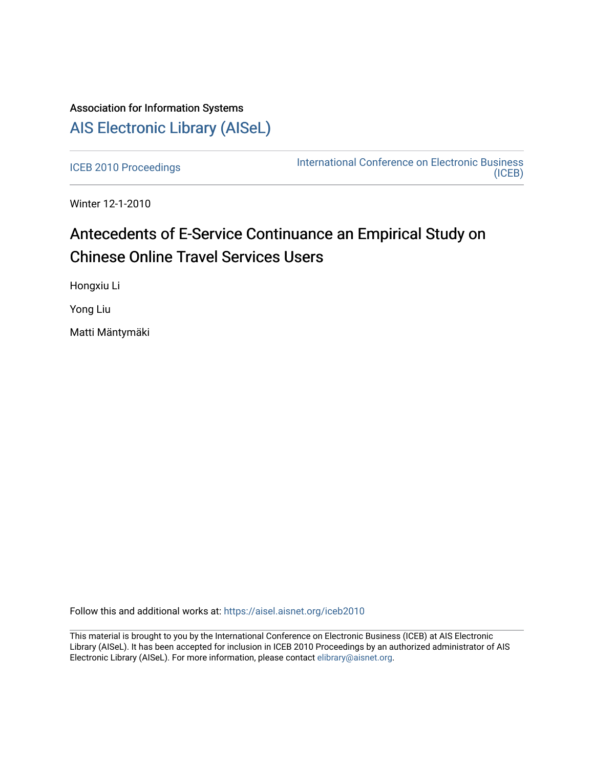## Association for Information Systems [AIS Electronic Library \(AISeL\)](https://aisel.aisnet.org/)

[ICEB 2010 Proceedings](https://aisel.aisnet.org/iceb2010) **International Conference on Electronic Business** [\(ICEB\)](https://aisel.aisnet.org/iceb) 

Winter 12-1-2010

# Antecedents of E-Service Continuance an Empirical Study on **Chinese Online Travel Services Users**

Hongxiu Li

Yong Liu

Matti Mäntymäki

Follow this and additional works at: [https://aisel.aisnet.org/iceb2010](https://aisel.aisnet.org/iceb2010?utm_source=aisel.aisnet.org%2Ficeb2010%2F19&utm_medium=PDF&utm_campaign=PDFCoverPages)

This material is brought to you by the International Conference on Electronic Business (ICEB) at AIS Electronic Library (AISeL). It has been accepted for inclusion in ICEB 2010 Proceedings by an authorized administrator of AIS Electronic Library (AISeL). For more information, please contact [elibrary@aisnet.org.](mailto:elibrary@aisnet.org%3E)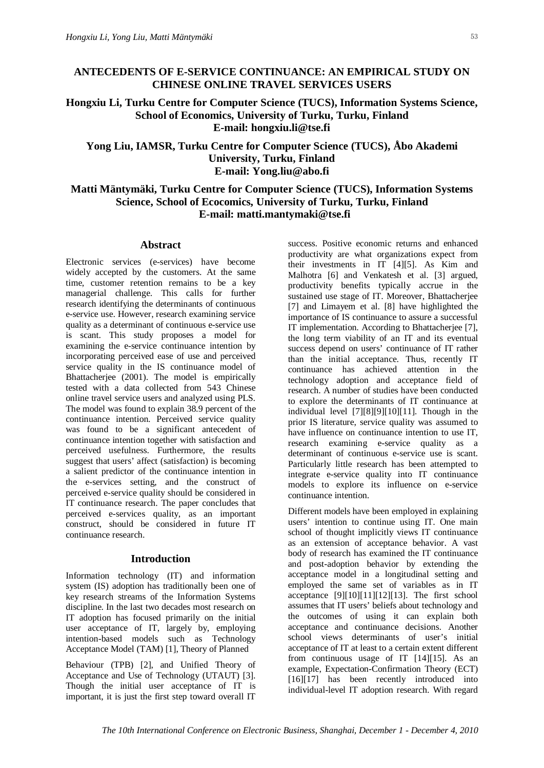## **ANTECEDENTS OF E-SERVICE CONTINUANCE: AN EMPIRICAL STUDY ON CHINESE ONLINE TRAVEL SERVICES USERS**

**Hongxiu Li, Turku Centre for Computer Science (TUCS), Information Systems Science, School of Economics, University of Turku, Turku, Finland E-mail: [hongxiu.li@tse.fi](mailto:hongxiu.li@tse.fi)**

## **Yong Liu, IAMSR, Turku Centre for Computer Science (TUCS), Åbo Akademi University, Turku, Finland E-mail: [Yong.liu@abo.fi](mailto:Yong.liu@abo.fi)**

## **Matti Mäntymäki, Turku Centre for Computer Science (TUCS), Information Systems Science, School of Ecocomics, University of Turku, Turku, Finland E-mail: [matti.mantymaki@tse.fi](mailto:matti.mantymaki@tse.fi)**

#### **Abstract**

Electronic services (e-services) have become widely accepted by the customers. At the same time, customer retention remains to be a key managerial challenge. This calls for further research identifying the determinants of continuous e-service use. However, research examining service quality as a determinant of continuous e-service use is scant. This study proposes a model for examining the e-service continuance intention by incorporating perceived ease of use and perceived service quality in the IS continuance model of Bhattacherjee (2001). The model is empirically tested with a data collected from 543 Chinese online travel service users and analyzed using PLS. The model was found to explain 38.9 percent of the continuance intention. Perceived service quality was found to be a significant antecedent of continuance intention together with satisfaction and perceived usefulness. Furthermore, the results suggest that users' affect (satisfaction) is becoming a salient predictor of the continuance intention in the e-services setting, and the construct of perceived e-service quality should be considered in IT continuance research. The paper concludes that perceived e-services quality, as an important construct, should be considered in future IT continuance research.

### **Introduction**

Information technology (IT) and information system (IS) adoption has traditionally been one of key research streams of the Information Systems discipline. In the last two decades most research on IT adoption has focused primarily on the initial user acceptance of IT, largely by, employing intention-based models such as Technology Acceptance Model (TAM) [1], Theory of Planned

Behaviour (TPB) [2], and Unified Theory of Acceptance and Use of Technology (UTAUT) [3]. Though the initial user acceptance of IT is important, it is just the first step toward overall IT

success. Positive economic returns and enhanced productivity are what organizations expect from their investments in IT [4][5]. As Kim and Malhotra [6] and Venkatesh et al. [3] argued, productivity benefits typically accrue in the sustained use stage of IT. Moreover, Bhattacherjee [7] and Limayem et al. [8] have highlighted the importance of IS continuance to assure a successful IT implementation. According to Bhattacherjee [7], the long term viability of an IT and its eventual success depend on users' continuance of IT rather than the initial acceptance. Thus, recently IT continuance has achieved attention in the technology adoption and acceptance field of research. A number of studies have been conducted to explore the determinants of IT continuance at individual level [7][8][9][10][11]. Though in the prior IS literature, service quality was assumed to have influence on continuance intention to use IT, research examining e-service quality as a determinant of continuous e-service use is scant. Particularly little research has been attempted to integrate e-service quality into IT continuance models to explore its influence on e-service continuance intention.

Different models have been employed in explaining users' intention to continue using IT. One main school of thought implicitly views IT continuance as an extension of acceptance behavior. A vast body of research has examined the IT continuance and post-adoption behavior by extending the acceptance model in a longitudinal setting and employed the same set of variables as in IT acceptance  $[9][10][11][12][13]$ . The first school assumes that IT users' beliefs about technology and the outcomes of using it can explain both acceptance and continuance decisions. Another school views determinants of user's initial acceptance of IT at least to a certain extent different from continuous usage of IT [14][15]. As an example, Expectation-Confirmation Theory (ECT) [16][17] has been recently introduced into individual-level IT adoption research. With regard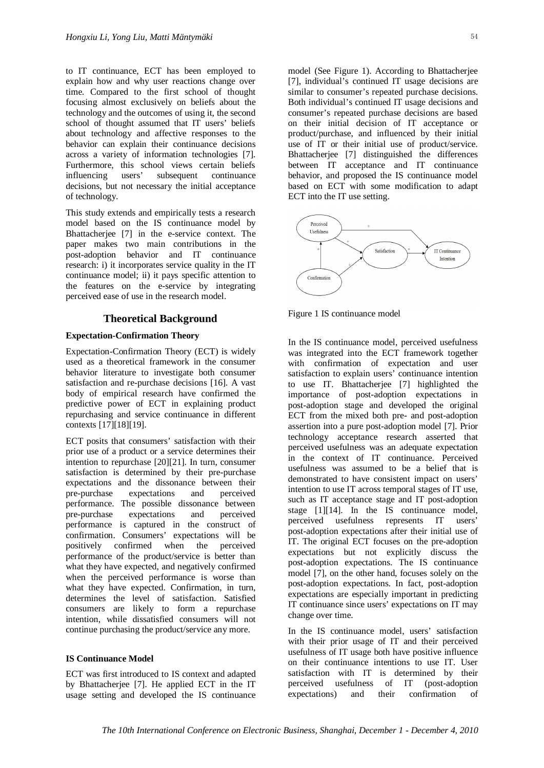to IT continuance, ECT has been employed to explain how and why user reactions change over time. Compared to the first school of thought focusing almost exclusively on beliefs about the technology and the outcomes of using it, the second school of thought assumed that IT users' beliefs about technology and affective responses to the behavior can explain their continuance decisions across a variety of information technologies [7]. Furthermore, this school views certain beliefs influencing users' subsequent continuance decisions, but not necessary the initial acceptance of technology.

This study extends and empirically tests a research model based on the IS continuance model by Bhattacherjee [7] in the e-service context. The paper makes two main contributions in the post-adoption behavior and IT continuance research: i) it incorporates service quality in the IT continuance model; ii) it pays specific attention to the features on the e-service by integrating perceived ease of use in the research model.

#### **Theoretical Background**

#### **Expectation-Confirmation Theory**

Expectation-Confirmation Theory (ECT) is widely used as a theoretical framework in the consumer behavior literature to investigate both consumer satisfaction and re-purchase decisions [16]. A vast body of empirical research have confirmed the predictive power of ECT in explaining product repurchasing and service continuance in different contexts [17][18][19].

ECT posits that consumers' satisfaction with their prior use of a product or a service determines their intention to repurchase [20][21]. In turn, consumer satisfaction is determined by their pre-purchase expectations and the dissonance between their pre-purchase expectations and perceived performance. The possible dissonance between pre-purchase expectations and perceived performance is captured in the construct of confirmation. Consumers' expectations will be positively confirmed when the perceived performance of the product/service is better than what they have expected, and negatively confirmed when the perceived performance is worse than what they have expected. Confirmation, in turn, determines the level of satisfaction. Satisfied consumers are likely to form a repurchase intention, while dissatisfied consumers will not continue purchasing the product/service any more.

#### **IS Continuance Model**

ECT was first introduced to IS context and adapted by Bhattacherjee [7]. He applied ECT in the IT usage setting and developed the IS continuance

model (See Figure 1). According to Bhattacherjee [7], individual's continued IT usage decisions are similar to consumer's repeated purchase decisions. Both individual's continued IT usage decisions and consumer's repeated purchase decisions are based on their initial decision of IT acceptance or product/purchase, and influenced by their initial use of IT or their initial use of product/service. Bhattacherjee [7] distinguished the differences between IT acceptance and IT continuance behavior, and proposed the IS continuance model based on ECT with some modification to adapt ECT into the IT use setting.



Figure 1 IS continuance model

In the IS continuance model, perceived usefulness was integrated into the ECT framework together with confirmation of expectation and user satisfaction to explain users' continuance intention to use IT. Bhattacherjee [7] highlighted the importance of post-adoption expectations in post-adoption stage and developed the original ECT from the mixed both pre- and post-adoption assertion into a pure post-adoption model [7]. Prior technology acceptance research asserted that perceived usefulness was an adequate expectation in the context of IT continuance. Perceived usefulness was assumed to be a belief that is demonstrated to have consistent impact on users' intention to use IT across temporal stages of IT use, such as IT acceptance stage and IT post-adoption stage [1][14]. In the IS continuance model, perceived usefulness represents IT users' post-adoption expectations after their initial use of IT. The original ECT focuses on the pre-adoption expectations but not explicitly discuss the post-adoption expectations. The IS continuance model [7], on the other hand, focuses solely on the post-adoption expectations. In fact, post-adoption expectations are especially important in predicting IT continuance since users' expectations on IT may change over time.

In the IS continuance model, users' satisfaction with their prior usage of IT and their perceived usefulness of IT usage both have positive influence on their continuance intentions to use IT. User satisfaction with IT is determined by their perceived usefulness of IT (post-adoption expectations) and their confirmation of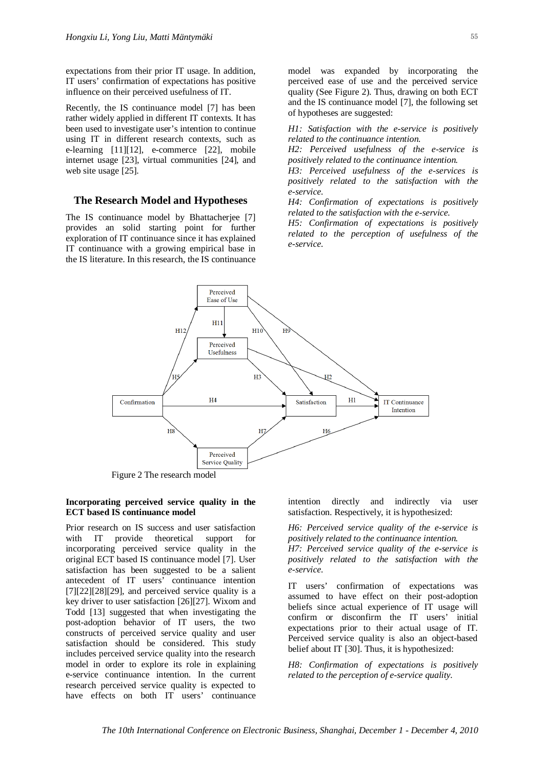expectations from their prior IT usage. In addition, IT users' confirmation of expectations has positive influence on their perceived usefulness of IT.

Recently, the IS continuance model [7] has been rather widely applied in different IT contexts. It has been used to investigate user's intention to continue using IT in different research contexts, such as e-learning [11][12], e-commerce [22], mobile internet usage [23], virtual communities [24], and web site usage [25].

#### **The Research Model and Hypotheses**

The IS continuance model by Bhattacherjee [7] provides an solid starting point for further exploration of IT continuance since it has explained IT continuance with a growing empirical base in the IS literature. In this research, the IS continuance

model was expanded by incorporating the perceived ease of use and the perceived service quality (See Figure 2). Thus, drawing on both ECT and the IS continuance model [7], the following set of hypotheses are suggested:

*H1: Satisfaction with the e-service is positively related to the continuance intention.*

*H2: Perceived usefulness of the e-service is positively related to the continuance intention.*

*H3: Perceived usefulness of the e-services is positively related to the satisfaction with the e-service.*

*H4: Confirmation of expectations is positively related to the satisfaction with the e-service.*

*H5: Confirmation of expectations is positively related to the perception of usefulness of the e-service.*



#### **Incorporating perceived service quality in the ECT based IS continuance model**

Prior research on IS success and user satisfaction with IT provide theoretical support for incorporating perceived service quality in the original ECT based IS continuance model [7]. User satisfaction has been suggested to be a salient antecedent of IT users' continuance intention  $[7][22][28][29]$ , and perceived service quality is a key driver to user satisfaction [26][27]. Wixom and Todd [13] suggested that when investigating the post-adoption behavior of IT users, the two constructs of perceived service quality and user satisfaction should be considered. This study includes perceived service quality into the research model in order to explore its role in explaining e-service continuance intention. In the current research perceived service quality is expected to have effects on both IT users' continuance

intention directly and indirectly via user satisfaction. Respectively, it is hypothesized:

*H6: Perceived service quality of the e-service is positively related to the continuance intention. H7: Perceived service quality of the e-service is positively related to the satisfaction with the e-service.*

IT users' confirmation of expectations was assumed to have effect on their post-adoption beliefs since actual experience of IT usage will confirm or disconfirm the IT users' initial expectations prior to their actual usage of IT. Perceived service quality is also an object-based belief about IT [30]. Thus, it is hypothesized:

*H8: Confirmation of expectations is positively related to the perception of e-service quality.*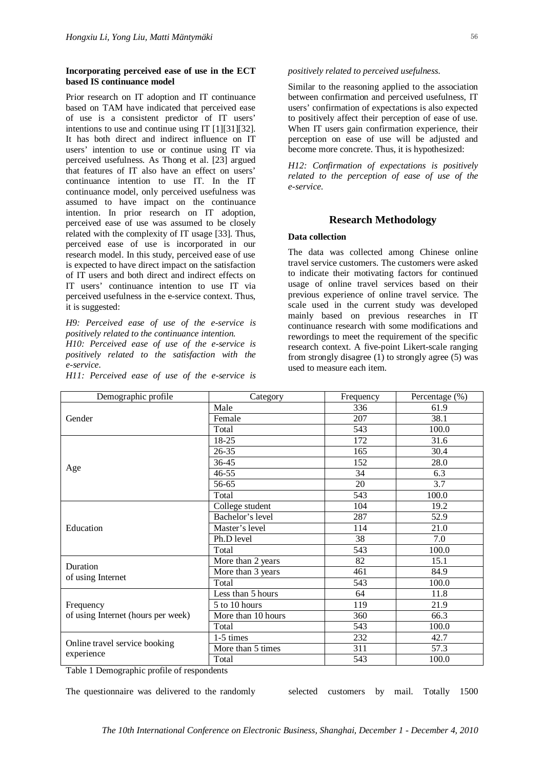#### **Incorporating perceived ease of use in the ECT based IS continuance model**

Prior research on IT adoption and IT continuance based on TAM have indicated that perceived ease of use is a consistent predictor of IT users' intentions to use and continue using IT [1][31][32]. It has both direct and indirect influence on IT users' intention to use or continue using IT via perceived usefulness. As Thong et al. [23] argued that features of IT also have an effect on users' continuance intention to use IT. In the IT continuance model, only perceived usefulness was assumed to have impact on the continuance intention. In prior research on IT adoption, perceived ease of use was assumed to be closely related with the complexity of IT usage [33]. Thus, perceived ease of use is incorporated in our research model. In this study, perceived ease of use is expected to have direct impact on the satisfaction of IT users and both direct and indirect effects on IT users' continuance intention to use IT via perceived usefulness in the e-service context. Thus, it is suggested:

*H9: Perceived ease of use of the e-service is positively related to the continuance intention.*

*H10: Perceived ease of use of the e-service is positively related to the satisfaction with the e-service.*

*H11: Perceived ease of use of the e-service is*

#### *positively related to perceived usefulness.*

Similar to the reasoning applied to the association between confirmation and perceived usefulness, IT users' confirmation of expectations is also expected to positively affect their perception of ease of use. When IT users gain confirmation experience, their perception on ease of use will be adjusted and become more concrete. Thus, it is hypothesized:

*H12: Confirmation of expectations is positively related to the perception of ease of use of the e-service.*

#### **Research Methodology**

#### **Data collection**

The data was collected among Chinese online travel service customers. The customers were asked to indicate their motivating factors for continued usage of online travel services based on their previous experience of online travel service. The scale used in the current study was developed mainly based on previous researches in IT continuance research with some modifications and rewordings to meet the requirement of the specific research context. A five-point Likert-scale ranging from strongly disagree (1) to strongly agree (5) was used to measure each item.

| Demographic profile                             | Category           | Percentage (%) |       |  |
|-------------------------------------------------|--------------------|----------------|-------|--|
| Gender                                          | Male               | 336            | 61.9  |  |
|                                                 | Female             | 207            | 38.1  |  |
|                                                 | Total              | 543            | 100.0 |  |
| Age                                             | 18-25              | 172            | 31.6  |  |
|                                                 | $26 - 35$          | 165            | 30.4  |  |
|                                                 | 36-45              | 152            | 28.0  |  |
|                                                 | $46 - 55$          | 34             | 6.3   |  |
|                                                 | 56-65              | 20             | 3.7   |  |
|                                                 | Total              | 543            | 100.0 |  |
| Education                                       | College student    | 104            | 19.2  |  |
|                                                 | Bachelor's level   | 287            | 52.9  |  |
|                                                 | Master's level     | 114            | 21.0  |  |
|                                                 | Ph.D level         | 38             | 7.0   |  |
|                                                 | Total              | 543            | 100.0 |  |
| Duration<br>of using Internet                   | More than 2 years  | 82             | 15.1  |  |
|                                                 | More than 3 years  | 461            | 84.9  |  |
|                                                 | Total              | 543            | 100.0 |  |
| Frequency<br>of using Internet (hours per week) | Less than 5 hours  | 64             | 11.8  |  |
|                                                 | 5 to 10 hours      | 119            | 21.9  |  |
|                                                 | More than 10 hours | 360            | 66.3  |  |
|                                                 | Total              | 543            | 100.0 |  |
| Online travel service booking<br>experience     | $1-5$ times        | 232            | 42.7  |  |
|                                                 | More than 5 times  | 311            | 57.3  |  |
|                                                 | Total              | 543            | 100.0 |  |

Table 1 Demographic profile of respondents

The questionnaire was delivered to the randomly selected customers by mail. Totally 1500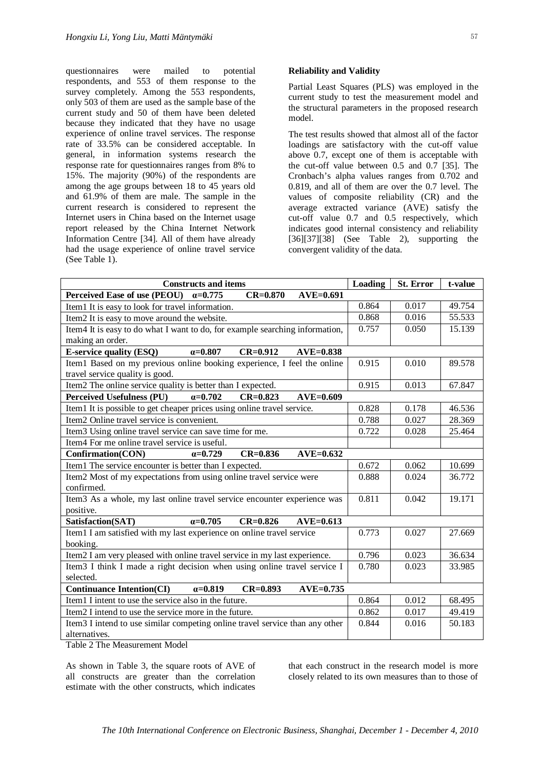questionnaires were mailed to potential respondents, and 553 of them response to the survey completely. Among the 553 respondents, only 503 of them are used as the sample base of the current study and 50 of them have been deleted because they indicated that they have no usage experience of online travel services. The response rate of 33.5% can be considered acceptable. In general, in information systems research the response rate for questionnaires ranges from 8% to 15%. The majority (90%) of the respondents are among the age groups between 18 to 45 years old and 61.9% of them are male. The sample in the current research is considered to represent the Internet users in China based on the Internet usage report released by the China Internet Network Information Centre [34]. All of them have already had the usage experience of online travel service (See Table 1).

#### **Reliability and Validity**

Partial Least Squares (PLS) was employed in the current study to test the measurement model and the structural parameters in the proposed research model.

The test results showed that almost all of the factor loadings are satisfactory with the cut-off value above 0.7, except one of them is acceptable with the cut-off value between  $0.5$  and  $0.7$  [35]. The Cronbach's alpha values ranges from 0.702 and 0.819, and all of them are over the 0.7 level. The values of composite reliability (CR) and the average extracted variance (AVE) satisfy the cut-off value 0.7 and 0.5 respectively, which indicates good internal consistency and reliability [36][37][38] (See Table 2), supporting the convergent validity of the data.

| <b>Constructs and items</b>                                                         | Loading | <b>St. Error</b> | t-value |  |  |  |
|-------------------------------------------------------------------------------------|---------|------------------|---------|--|--|--|
| Perceived Ease of use (PEOU) $\alpha=0.775$<br>$CR=0.870$<br>$AVE=0.691$            |         |                  |         |  |  |  |
| Item1 It is easy to look for travel information.                                    | 0.864   | 0.017            | 49.754  |  |  |  |
| Item2 It is easy to move around the website.                                        | 0.868   | 0.016            | 55.533  |  |  |  |
| Item4 It is easy to do what I want to do, for example searching information,        | 0.757   | 0.050            | 15.139  |  |  |  |
| making an order.                                                                    |         |                  |         |  |  |  |
| <b>E-service quality (ESQ)</b><br>$\alpha = 0.807$<br>$CR = 0.912$<br>$AVE=0.838$   |         |                  |         |  |  |  |
| Item1 Based on my previous online booking experience, I feel the online             | 0.915   | 0.010            | 89.578  |  |  |  |
| travel service quality is good.                                                     |         |                  |         |  |  |  |
| Item2 The online service quality is better than I expected.                         | 0.915   | 0.013            | 67.847  |  |  |  |
| <b>Perceived Usefulness (PU)</b><br>$\alpha = 0.702$<br>$CR = 0.823$<br>$AVE=0.609$ |         |                  |         |  |  |  |
| Item1 It is possible to get cheaper prices using online travel service.             | 0.828   | 0.178            | 46.536  |  |  |  |
| Item <sub>2</sub> Online travel service is convenient.                              | 0.788   | 0.027            | 28.369  |  |  |  |
| Item3 Using online travel service can save time for me.                             | 0.722   | 0.028            | 25.464  |  |  |  |
| Item <sub>4</sub> For me online travel service is useful.                           |         |                  |         |  |  |  |
| Confirmation(CON)<br>$CR = 0.836$<br>$AVE=0.632$<br>$a=0.729$                       |         |                  |         |  |  |  |
| Item1 The service encounter is better than I expected.                              | 0.672   | 0.062            | 10.699  |  |  |  |
| Item2 Most of my expectations from using online travel service were                 | 0.888   | 0.024            | 36.772  |  |  |  |
| confirmed.                                                                          |         |                  |         |  |  |  |
| Item3 As a whole, my last online travel service encounter experience was            | 0.811   | 0.042            | 19.171  |  |  |  |
| positive.                                                                           |         |                  |         |  |  |  |
| $\alpha = 0.705$<br>$CR = 0.826$<br>Satisfaction(SAT)<br>$AVE=0.613$                |         |                  |         |  |  |  |
| Item1 I am satisfied with my last experience on online travel service               | 0.773   | 0.027            | 27.669  |  |  |  |
| booking.                                                                            |         |                  |         |  |  |  |
| Item2 I am very pleased with online travel service in my last experience.           | 0.796   | 0.023            | 36.634  |  |  |  |
| Item3 I think I made a right decision when using online travel service I            | 0.780   | 0.023            | 33.985  |  |  |  |
| selected.                                                                           |         |                  |         |  |  |  |
| $\alpha = 0.819$<br>$CR = 0.893$<br><b>Continuance Intention(CI)</b><br>$AVE=0.735$ |         |                  |         |  |  |  |
| Item1 I intent to use the service also in the future.                               | 0.864   | 0.012            | 68.495  |  |  |  |
| Item2 I intend to use the service more in the future.                               | 0.862   | 0.017            | 49.419  |  |  |  |
| Item3 I intend to use similar competing online travel service than any other        | 0.844   | 0.016            | 50.183  |  |  |  |
| alternatives.                                                                       |         |                  |         |  |  |  |

Table 2 The Measurement Model

As shown in Table 3, the square roots of AVE of all constructs are greater than the correlation estimate with the other constructs, which indicates

that each construct in the research model is more closely related to its own measures than to those of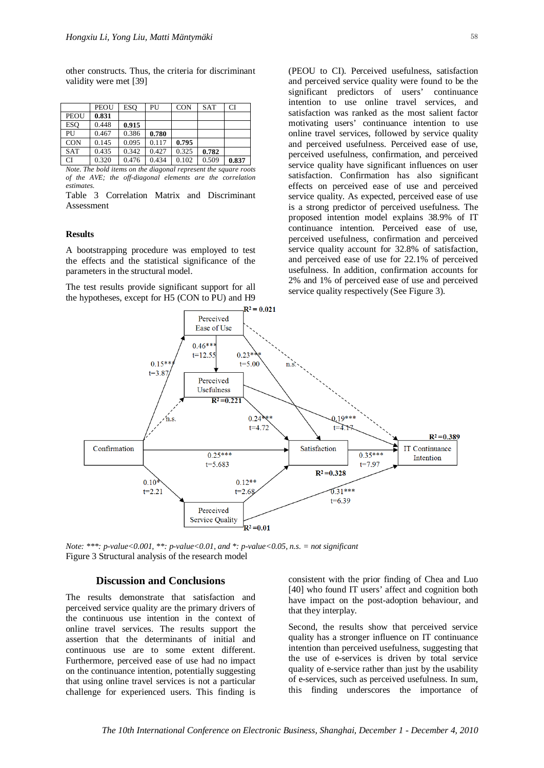other constructs. Thus, the criteria for discriminant validity were met [39]

|            | PEOU  | ESO   | PU    | <b>CON</b> | <b>SAT</b> | CI    |
|------------|-------|-------|-------|------------|------------|-------|
| PEOU       | 0.831 |       |       |            |            |       |
| ESO        | 0.448 | 0.915 |       |            |            |       |
| PU         | 0.467 | 0.386 | 0.780 |            |            |       |
| <b>CON</b> | 0.145 | 0.095 | 0.117 | 0.795      |            |       |
| <b>SAT</b> | 0.435 | 0.342 | 0.427 | 0.325      | 0.782      |       |
| <b>CI</b>  | 0.320 | 0.476 | 0.434 | 0.102      | 0.509      | 0.837 |

*Note. The bold items on the diagonal represent the square roots of the AVE; the off-diagonal elements are the correlation estimates.*

Table 3 Correlation Matrix and Discriminant Assessment

#### **Results**

A bootstrapping procedure was employed to test the effects and the statistical significance of the parameters in the structural model.

The test results provide significant support for all the hypotheses, except for H5 (CON to PU) and H9

(PEOU to CI). Perceived usefulness, satisfaction and perceived service quality were found to be the significant predictors of users' continuance intention to use online travel services, and satisfaction was ranked as the most salient factor motivating users' continuance intention to use online travel services, followed by service quality and perceived usefulness. Perceived ease of use, perceived usefulness, confirmation, and perceived service quality have significant influences on user satisfaction. Confirmation has also significant effects on perceived ease of use and perceived service quality. As expected, perceived ease of use is a strong predictor of perceived usefulness. The proposed intention model explains 38.9% of IT continuance intention. Perceived ease of use, perceived usefulness, confirmation and perceived service quality account for 32.8% of satisfaction, and perceived ease of use for 22.1% of perceived usefulness. In addition, confirmation accounts for 2% and 1% of perceived ease of use and perceived service quality respectively (See Figure 3).



*Note: \*\*\*: p-value<0.001, \*\*: p-value<0.01, and \*: p-value<0.05, n.s. = not significant* Figure 3 Structural analysis of the research model

#### **Discussion and Conclusions**

The results demonstrate that satisfaction and perceived service quality are the primary drivers of the continuous use intention in the context of online travel services. The results support the assertion that the determinants of initial and continuous use are to some extent different. Furthermore, perceived ease of use had no impact on the continuance intention, potentially suggesting that using online travel services is not a particular challenge for experienced users. This finding is

consistent with the prior finding of Chea and Luo [40] who found IT users' affect and cognition both have impact on the post-adoption behaviour, and that they interplay.

Second, the results show that perceived service quality has a stronger influence on IT continuance intention than perceived usefulness, suggesting that the use of e-services is driven by total service quality of e-service rather than just by the usability of e-services, such as perceived usefulness. In sum, this finding underscores the importance of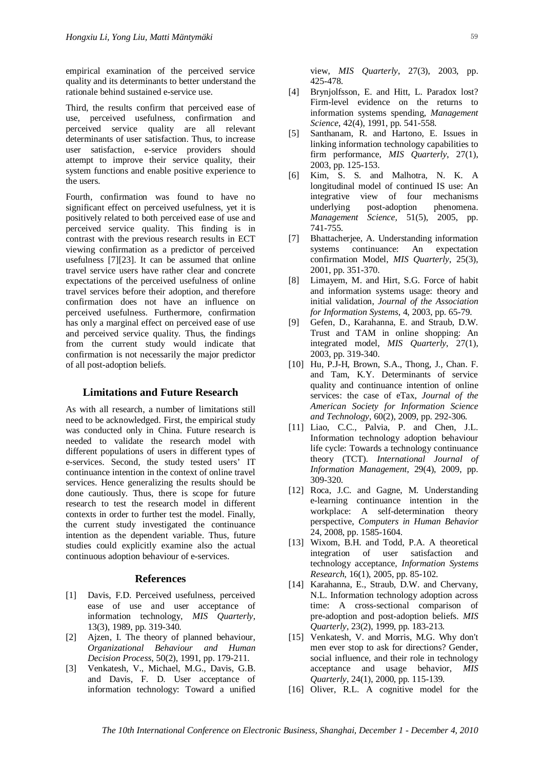empirical examination of the perceived service quality and its determinants to better understand the rationale behind sustained e-service use.

Third, the results confirm that perceived ease of use, perceived usefulness, confirmation and perceived service quality are all relevant determinants of user satisfaction. Thus, to increase user satisfaction, e-service providers should attempt to improve their service quality, their system functions and enable positive experience to the users.

Fourth, confirmation was found to have no significant effect on perceived usefulness, yet it is positively related to both perceived ease of use and perceived service quality. This finding is in contrast with the previous research results in ECT viewing confirmation as a predictor of perceived usefulness [7][23]. It can be assumed that online travel service users have rather clear and concrete expectations of the perceived usefulness of online travel services before their adoption, and therefore confirmation does not have an influence on perceived usefulness. Furthermore, confirmation has only a marginal effect on perceived ease of use and perceived service quality. Thus, the findings from the current study would indicate that confirmation is not necessarily the major predictor of all post-adoption beliefs.

#### **Limitations and Future Research**

As with all research, a number of limitations still need to be acknowledged. First, the empirical study was conducted only in China. Future research is needed to validate the research model with different populations of users in different types of e-services. Second, the study tested users' IT continuance intention in the context of online travel services. Hence generalizing the results should be done cautiously. Thus, there is scope for future research to test the research model in different contexts in order to further test the model. Finally, the current study investigated the continuance intention as the dependent variable. Thus, future studies could explicitly examine also the actual continuous adoption behaviour of e-services.

#### **References**

- [1] Davis, F.D. Perceived usefulness, perceived ease of use and user acceptance of information technology, *MIS Quarterly*, 13(3), 1989, pp. 319-340.
- [2] Aizen, I. The theory of planned behaviour, *Organizational Behaviour and Human Decision Process*, 50(2), 1991, pp. 179-211.
- [3] Venkatesh, V., Michael, M.G., Davis, G.B. and Davis, F. D. User acceptance of information technology: Toward a unified

view, *MIS Quarterly*, 27(3), 2003, pp. 425-478.

- [4] Brynjolfsson, E. and Hitt, L. Paradox lost? Firm-level evidence on the returns to information systems spending, *Management Science*, 42(4), 1991, pp. 541-558.
- [5] Santhanam, R. and Hartono, E. Issues in linking information technology capabilities to firm performance, *MIS Quarterly*, 27(1), 2003, pp. 125-153.
- [6] Kim, S. S. and Malhotra, N. K. A longitudinal model of continued IS use: An integrative view of four mechanisms underlying post-adoption phenomena. *Management Science,* 51(5), 2005, pp. 741-755.
- [7] Bhattacherjee, A. Understanding information systems continuance: An expectation confirmation Model, *MIS Quarterly*, 25(3), 2001, pp. 351-370.
- [8] Limayem, M. and Hirt, S.G. Force of habit and information systems usage: theory and initial validation, *Journal of the Association for Information Systems*, 4, 2003, pp. 65-79.
- [9] Gefen, D., Karahanna, E. and Straub, D.W. Trust and TAM in online shopping: An integrated model, *MIS Quarterly*, 27(1), 2003, pp. 319-340.
- [10] Hu, P.J-H, Brown, S.A., Thong, J., Chan. F. and Tam, K.Y. Determinants of service quality and continuance intention of online services: the case of eTax, *Journal of the American Society for Information Science and Technology*, 60(2), 2009, pp. 292-306.
- [11] Liao, C.C., Palvia, P. and Chen, J.L. Information technology adoption behaviour life cycle: Towards a technology continuance theory (TCT). *International Journal of Information Management*, 29(4), 2009, pp. 309-320.
- [12] Roca, J.C. and Gagne, M. Understanding e-learning continuance intention in the workplace: A self-determination theory perspective, *Computers in Human Behavior* 24, 2008, pp. 1585-1604.
- [13] Wixom, B.H. and Todd, P.A. A theoretical integration of user satisfaction and technology acceptance, *Information Systems Research*, 16(1), 2005, pp. 85-102.
- [14] Karahanna, E., Straub, D.W. and Chervany, N.L. Information technology adoption across time: A cross-sectional comparison of pre-adoption and post-adoption beliefs. *MIS Quarterly*, 23(2), 1999, pp. 183-213.
- [15] Venkatesh, V. and Morris, M.G. Why don't men ever stop to ask for directions? Gender, social influence, and their role in technology acceptance and usage behavior, *MIS Quarterly*, 24(1), 2000, pp. 115-139.
- [16] Oliver, R.L. A cognitive model for the